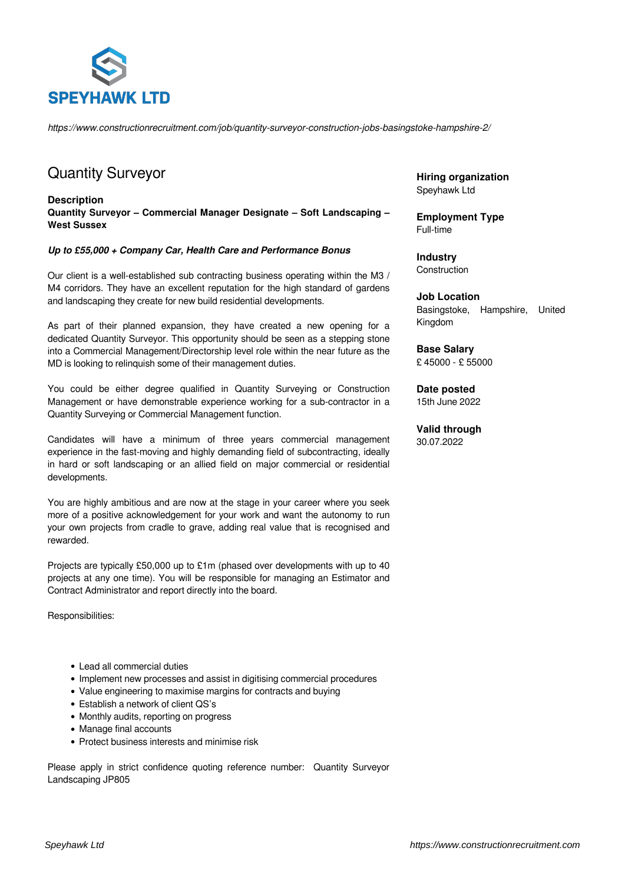

*https://www.constructionrecruitment.com/job/quantity-surveyor-construction-jobs-basingstoke-hampshire-2/*

## Quantity Surveyor

**Description Quantity Surveyor – Commercial Manager Designate – Soft Landscaping – West Sussex**

## *Up to £55,000 + Company Car, Health Care and Performance Bonus*

Our client is a well-established sub contracting business operating within the M3 / M4 corridors. They have an excellent reputation for the high standard of gardens and landscaping they create for new build residential developments.

As part of their planned expansion, they have created a new opening for a dedicated Quantity Surveyor. This opportunity should be seen as a stepping stone into a Commercial Management/Directorship level role within the near future as the MD is looking to relinquish some of their management duties.

You could be either degree qualified in Quantity Surveying or Construction Management or have demonstrable experience working for a sub-contractor in a Quantity Surveying or Commercial Management function.

Candidates will have a minimum of three years commercial management experience in the fast-moving and highly demanding field of subcontracting, ideally in hard or soft landscaping or an allied field on major commercial or residential developments.

You are highly ambitious and are now at the stage in your career where you seek more of a positive acknowledgement for your work and want the autonomy to run your own projects from cradle to grave, adding real value that is recognised and rewarded.

Projects are typically £50,000 up to £1m (phased over developments with up to 40 projects at any one time). You will be responsible for managing an Estimator and Contract Administrator and report directly into the board.

Responsibilities:

- Lead all commercial duties
- Implement new processes and assist in digitising commercial procedures
- Value engineering to maximise margins for contracts and buying
- Establish a network of client QS's
- Monthly audits, reporting on progress
- Manage final accounts
- Protect business interests and minimise risk

Please apply in strict confidence quoting reference number: Quantity Surveyor Landscaping JP805

**Hiring organization** Speyhawk Ltd

**Employment Type** Full-time

**Industry** Construction

**Job Location** Basingstoke, Hampshire, United Kingdom

**Base Salary** £ 45000 - £ 55000

**Date posted** 15th June 2022

**Valid through** 30.07.2022